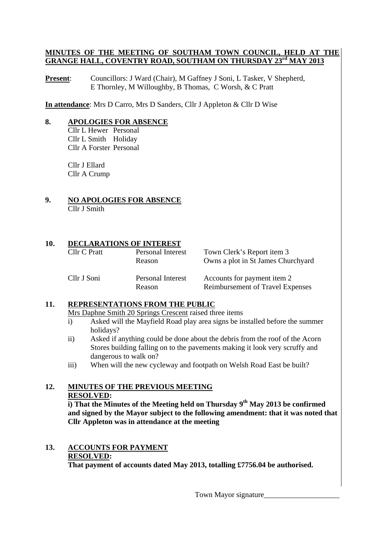#### **MINUTES OF THE MEETING OF SOUTHAM TOWN COUNCIL, HELD AT THE GRANGE HALL, COVENTRY ROAD, SOUTHAM ON THURSDAY 23rd MAY 2013**

**Present:** Councillors: J Ward (Chair), M Gaffney J Soni, L Tasker, V Shepherd, E Thornley, M Willoughby, B Thomas, C Worsh, & C Pratt

**In attendance**: Mrs D Carro, Mrs D Sanders, Cllr J Appleton & Cllr D Wise

#### **8. APOLOGIES FOR ABSENCE**

Cllr L Hewer Personal Cllr L Smith Holiday Cllr A Forster Personal

 Cllr J Ellard Cllr A Crump

## **9. NO APOLOGIES FOR ABSENCE** Cllr J Smith

#### **10. DECLARATIONS OF INTEREST**

| Cllr C Pratt | Personal Interest<br>Reason | Town Clerk's Report item 3<br>Owns a plot in St James Churchyard       |
|--------------|-----------------------------|------------------------------------------------------------------------|
| Cllr J Soni  | Personal Interest<br>Reason | Accounts for payment item 2<br><b>Reimbursement of Travel Expenses</b> |

## **11. REPRESENTATIONS FROM THE PUBLIC**

Mrs Daphne Smith 20 Springs Crescent raised three items

- i) Asked will the Mayfield Road play area signs be installed before the summer holidays?
- ii) Asked if anything could be done about the debris from the roof of the Acorn Stores building falling on to the pavements making it look very scruffy and dangerous to walk on?
- iii) When will the new cycleway and footpath on Welsh Road East be built?

## **12. MINUTES OF THE PREVIOUS MEETING RESOLVED:**

**i) That the Minutes of the Meeting held on Thursday 9th May 2013 be confirmed and signed by the Mayor subject to the following amendment: that it was noted that Cllr Appleton was in attendance at the meeting** 

#### **13. ACCOUNTS FOR PAYMENT RESOLVED:**

**That payment of accounts dated May 2013, totalling £7756.04 be authorised.** 

Town Mayor signature\_\_\_\_\_\_\_\_\_\_\_\_\_\_\_\_\_\_\_\_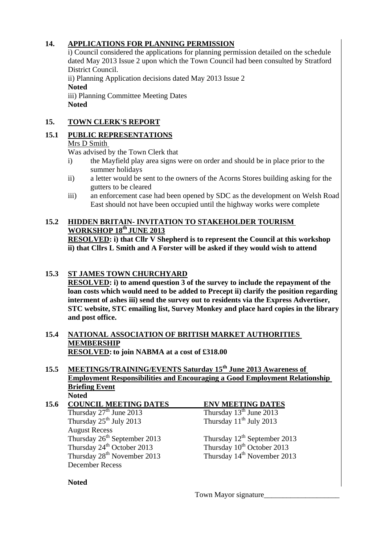## **14. APPLICATIONS FOR PLANNING PERMISSION**

i) Council considered the applications for planning permission detailed on the schedule dated May 2013 Issue 2 upon which the Town Council had been consulted by Stratford District Council.

ii) Planning Application decisions dated May 2013 Issue 2 **Noted**  iii) Planning Committee Meeting Dates

**Noted** 

## **15. TOWN CLERK'S REPORT**

## **15.1 PUBLIC REPRESENTATIONS**

Mrs D Smith

Was advised by the Town Clerk that

- i) the Mayfield play area signs were on order and should be in place prior to the summer holidays
- ii) a letter would be sent to the owners of the Acorns Stores building asking for the gutters to be cleared
- iii) an enforcement case had been opened by SDC as the development on Welsh Road East should not have been occupied until the highway works were complete

## **15.2 HIDDEN BRITAIN- INVITATION TO STAKEHOLDER TOURISM WORKSHOP 18th JUNE 2013**

**RESOLVED: i) that Cllr V Shepherd is to represent the Council at this workshop ii) that Cllrs L Smith and A Forster will be asked if they would wish to attend** 

## **15.3 ST JAMES TOWN CHURCHYARD**

**RESOLVED: i) to amend question 3 of the survey to include the repayment of the loan costs which would need to be added to Precept ii) clarify the position regarding interment of ashes iii) send the survey out to residents via the Express Advertiser, STC website, STC emailing list, Survey Monkey and place hard copies in the library and post office.** 

#### **15.4 NATIONAL ASSOCIATION OF BRITISH MARKET AUTHORITIES MEMBERSHIP RESOLVED: to join NABMA at a cost of £318.00**

#### **15.5 MEETINGS/TRAINING/EVENTS Saturday 15th June 2013 Awareness of Employment Responsibilities and Encouraging a Good Employment Relationship Briefing Event Noted**

**15.6** COUNCIL MEETING DATES<br>Thursday  $27^{\text{th}}$  June 2013<br>Thursday  $13^{\text{th}}$  June 2013 Thursday  $27^{\text{th}}$  June 2013<br>Thursday  $13^{\text{th}}$  June 2013<br>Thursday  $13^{\text{th}}$  June 2013<br>Thursday  $11^{\text{th}}$  July 2013 Thursday  $25^{\text{th}}$  July 2013 August Recess Thursday  $26^{th}$  September 2013<br>Thursday  $24^{th}$  October 2013<br>Thursday  $10^{th}$  October 2013<br>Thursday  $10^{th}$  October 2013 Thursday  $24^{\text{th}}$  October 2013<br>Thursday  $28^{\text{th}}$  November 2013 December Recess

Thursday  $14<sup>th</sup>$  November 2013

**Noted** 

Town Mayor signature\_\_\_\_\_\_\_\_\_\_\_\_\_\_\_\_\_\_\_\_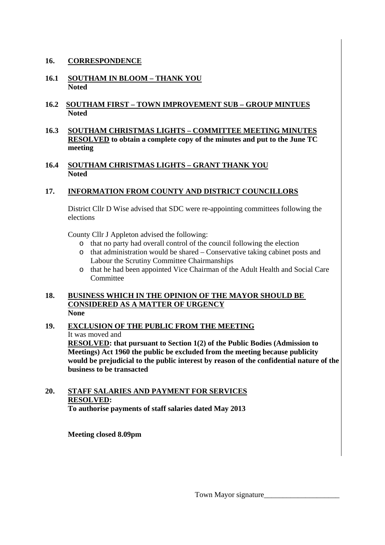## **16. CORRESPONDENCE**

- **16.1 SOUTHAM IN BLOOM THANK YOU Noted**
- **16.2 SOUTHAM FIRST TOWN IMPROVEMENT SUB GROUP MINTUES Noted**
- **16.3 SOUTHAM CHRISTMAS LIGHTS COMMITTEE MEETING MINUTES RESOLVED to obtain a complete copy of the minutes and put to the June TC meeting**
- **16.4 SOUTHAM CHRISTMAS LIGHTS GRANT THANK YOU Noted**

#### **17. INFORMATION FROM COUNTY AND DISTRICT COUNCILLORS**

 District Cllr D Wise advised that SDC were re-appointing committees following the elections

County Cllr J Appleton advised the following:

- o that no party had overall control of the council following the election
- o that administration would be shared Conservative taking cabinet posts and Labour the Scrutiny Committee Chairmanships
- o that he had been appointed Vice Chairman of the Adult Health and Social Care Committee

#### **18. BUSINESS WHICH IN THE OPINION OF THE MAYOR SHOULD BE CONSIDERED AS A MATTER OF URGENCY None**

## **19. EXCLUSION OF THE PUBLIC FROM THE MEETING**

It was moved and

**RESOLVED: that pursuant to Section 1(2) of the Public Bodies (Admission to Meetings) Act 1960 the public be excluded from the meeting because publicity would be prejudicial to the public interest by reason of the confidential nature of the business to be transacted** 

# **20. STAFF SALARIES AND PAYMENT FOR SERVICES RESOLVED:**

**To authorise payments of staff salaries dated May 2013** 

**Meeting closed 8.09pm** 

Town Mayor signature\_\_\_\_\_\_\_\_\_\_\_\_\_\_\_\_\_\_\_\_